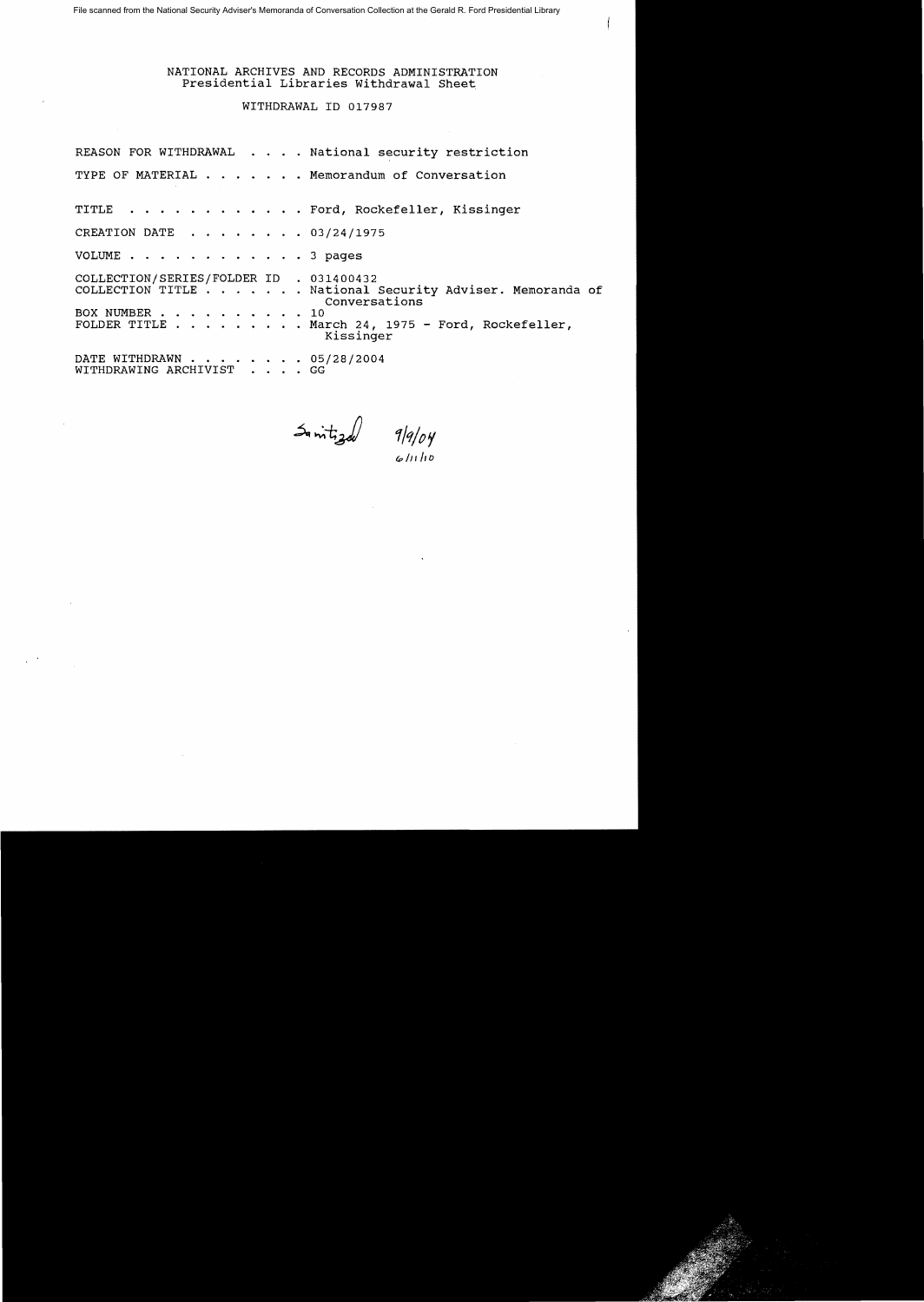NATIONAL ARCHIVES AND RECORDS ADMINISTRATION Presidential Libraries Withdrawal Sheet

WITHDRAWAL ID 017987

| REASON FOR WITHDRAWAL National security restriction                                                                                                                                                    |  |
|--------------------------------------------------------------------------------------------------------------------------------------------------------------------------------------------------------|--|
| TYPE OF MATERIAL Memorandum of Conversation                                                                                                                                                            |  |
| TITLE Ford, Rockefeller, Kissinger                                                                                                                                                                     |  |
| CREATION DATE 03/24/1975                                                                                                                                                                               |  |
| VOLUME 3 pages                                                                                                                                                                                         |  |
| COLLECTION/SERIES/FOLDER ID . 031400432<br>COLLECTION TITLE National Security Adviser. Memoranda of<br>Conversations<br>BOX NUMBER 10<br>FOLDER TITLE March 24, 1975 - Ford, Rockefeller,<br>Kissinger |  |
| DATE WITHDRAWN 05/28/2004<br>WITHDRAWING ARCHIVIST GG                                                                                                                                                  |  |

 $\frac{1}{2}$  intigal  $\frac{q}{q/p}$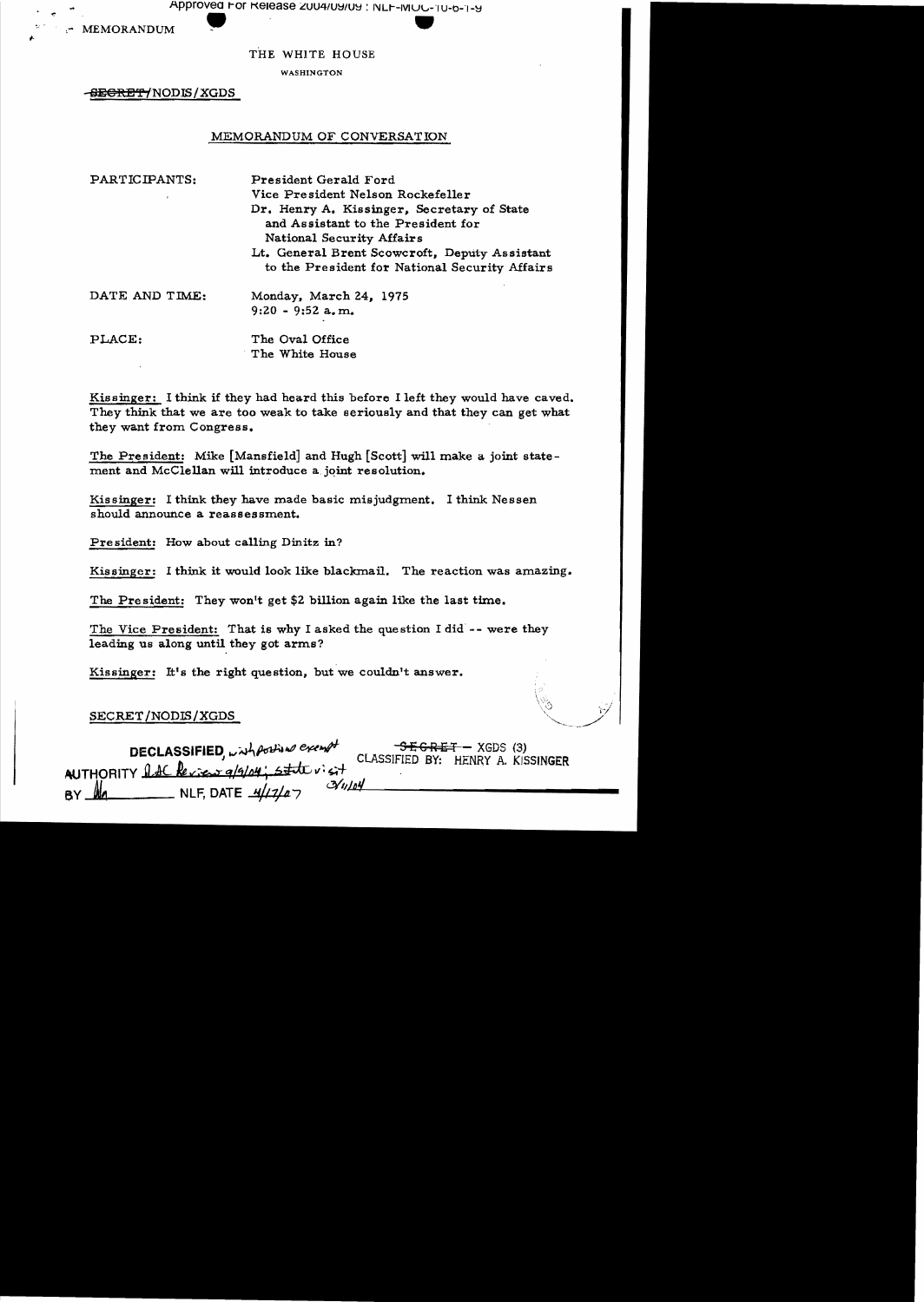Approved For Release 2004/09/09 : NLF-MOC-10-6-1-9

MEMORANDUM

## THE WHITE HOUSE

WASHINGTON

<del>SEGRET/</del>NODIS/XGDS

## MEMORANDUM OF CONVERSATION

| PARTICIPANTS:  | President Gerald Ford                                                                                         |
|----------------|---------------------------------------------------------------------------------------------------------------|
|                | Vice President Nelson Rockefeller                                                                             |
|                | Dr. Henry A. Kissinger, Secretary of State<br>and Assistant to the President for<br>National Security Affairs |
|                | Lt. General Brent Scowcroft, Deputy Assistant<br>to the President for National Security Affairs               |
| DATE AND TIME: | Monday, March 24, 1975                                                                                        |
|                | $9:20 - 9:52$ a, m.                                                                                           |
| PLACE:         | The Oval Office                                                                                               |
|                | The White House                                                                                               |

Kissinger: I think if they had heard this before I left they would have caved. They think that we are too weak to take seriously and that they can get what they want from Congress.

The President: Mike [Mansfield] and Hugh [Scott] will make a joint statement and McClellan will introduce a joint resolution.

Kissinger: I think they have made basic misjudgment. I think Nessen should announce a reassessment.

President: How about calling Dinitz in?

Kissinger: I think it would look like blackmail. The reaction was amazing.

The President: They won't get \$2 billion again like the last time.

The Vice President: That is why I asked the question I did -- were they leading us along until they got arms?

Kissinger: It's the right question, but we couldn't answer.

# SECRET/NODIS/XGDS

DECLASSIFIED, with position exempt<br>AUTHORITY LAC Review 9/9/04; state visit  $-$ <del>SEGRET</del> - XGDS (3) CLASSIFIED BY: HENRY A. KISSINGER NLF, DATE  $\frac{1}{4}$ //7/07  $\mathcal{N}$ u/oy <u>Ma.</u> BY.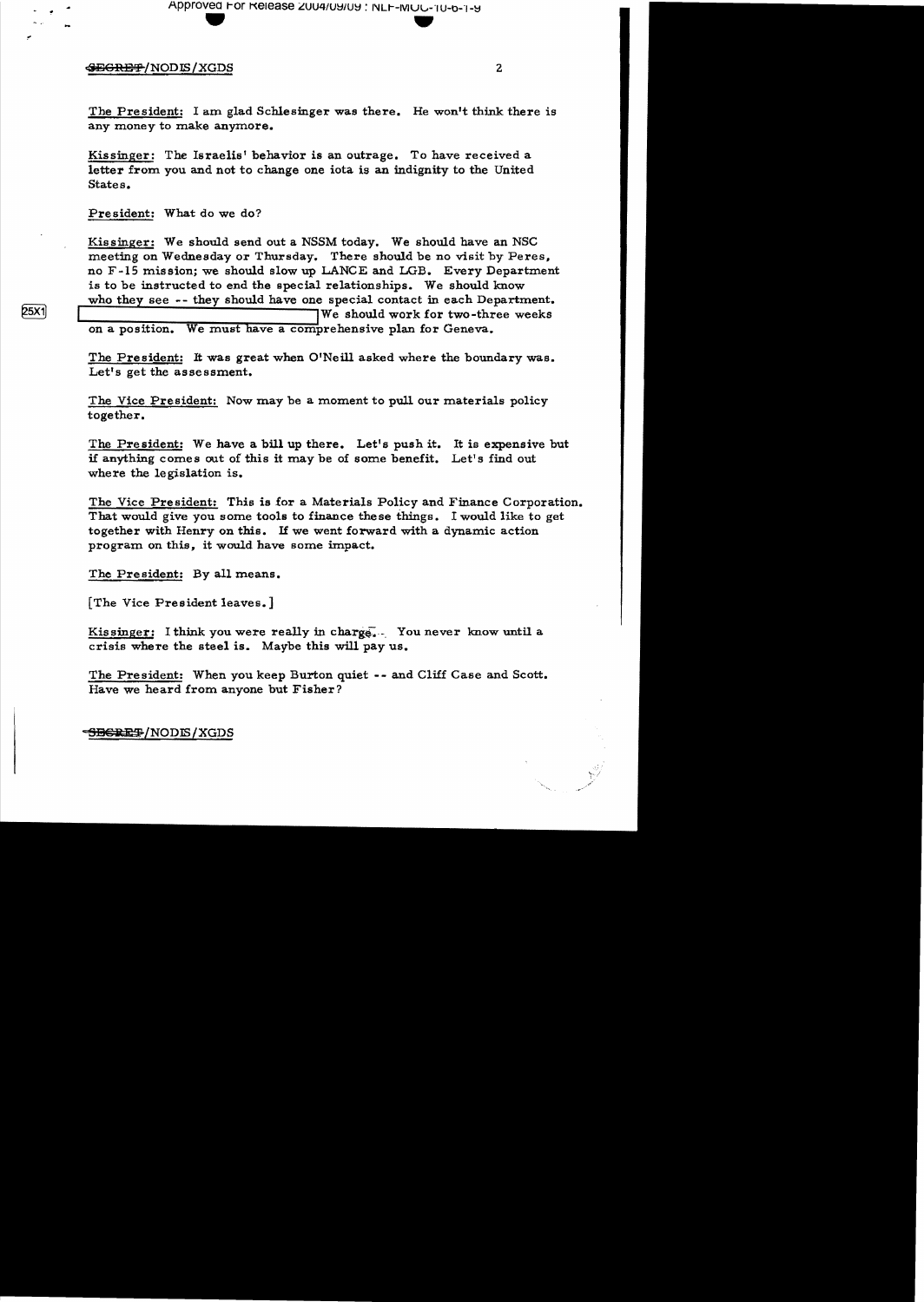Approved For Release 2004/09/09 : NLF-MOU-10-6-1-9

#### **SEGRET/NODIS/XGDS**

The President: I am glad Schlesinger was there. He won't think there is any money to make anymore.

Kissinger: The Israelis' behavior is an outrage. To have received a letter from you and not to change one iota is an indignity to the United States.

President: What do we do?

Kissinger: We should send out a NSSM today. We should have an NSC meeting on Wednesday or Thursday. There should be no visit by Peres, no F-15 mission; we should slow up LANCE and LGB. Every Department is to be instructed to end the special relationships. We should know who they see -- they should have one special contact in each Department. We should work for two-three weeks on a position. We must have a comprehensive plan for Geneva.

The President: It was great when O'Neill asked where the boundary was. Let's get the assessment.

The Vice President: Now may be a moment to pull our materials policy together.

The President: We have a bill up there. Let's push it. It is expensive but if anything comes out of this it may be of some benefit. Let's find out where the legislation is.

The Vice President: This is for a Materials Policy and Finance Corporation. That would give you some tools to finance these things. I would like to get together with Henry on this. If we went forward with a dynamic action program on this, it would have some impact.

The President: By all means.

[The Vice President leaves.]

Kissinger: I think you were really in charge. You never know until a crisis where the steel is. Maybe this will pay us.

The President: When you keep Burton quiet -- and Cliff Case and Scott. Have we heard from anyone but Fisher?

**SEGRET/NODIS/XGDS** 

**25X1**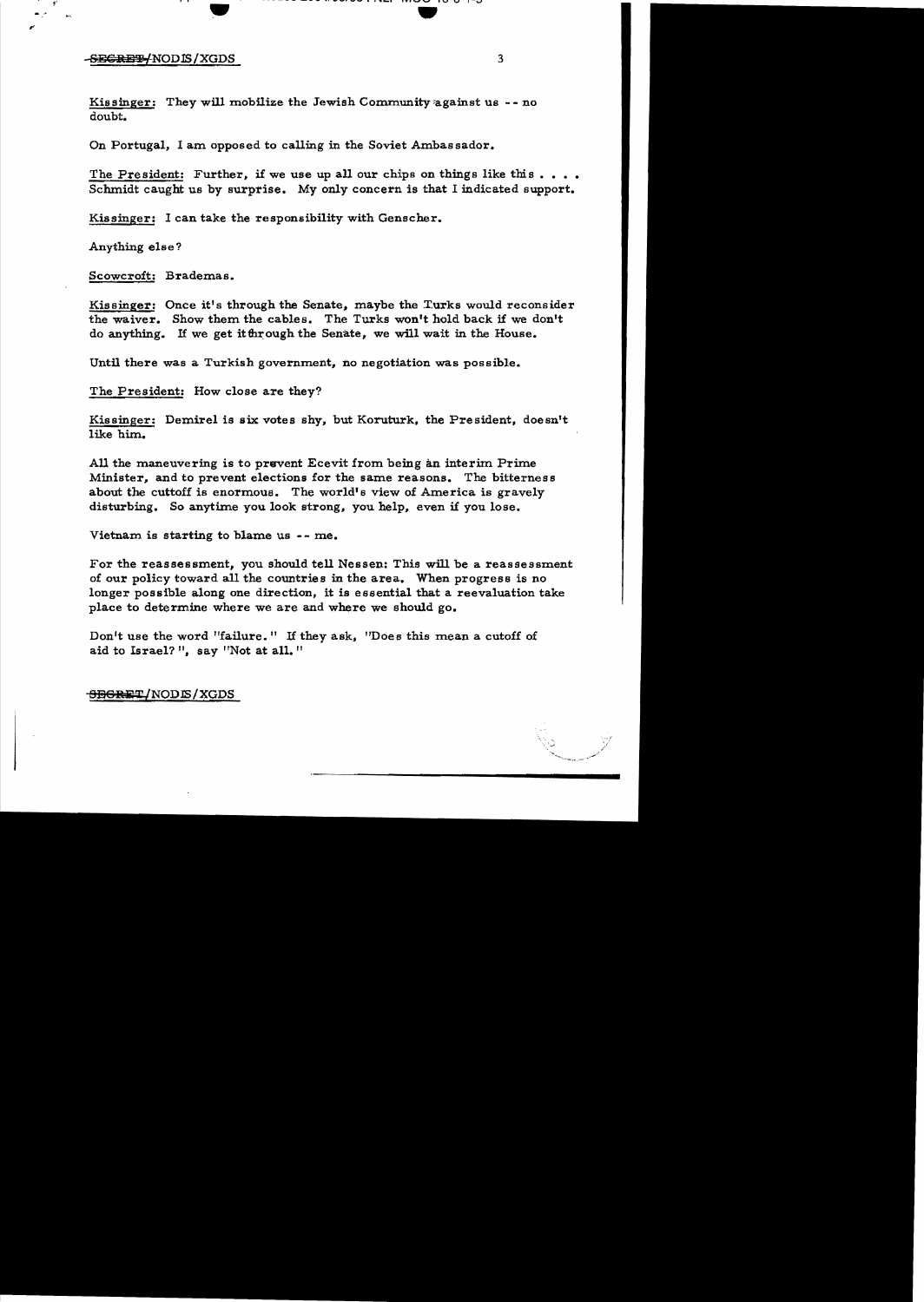#### -<del>SECRET/</del>NODIS/XGDS 3

Kissinger: They will mobilize the Jewish Community against us  $--$  no doubt.

On Portugal, I am opposed to calling in the Soviet Ambassador.

The President: Further, if we use up all our chips on things like this  $\dots$ . Schmidt caught us by surprise. My only concern is that I indicated support.

., •

Kissinger: I can take the responsibility with Genscher.

 $\mathcal{L}$  . The same is the set of  $\mathcal{L}$  . In the same is the same in the same in the same in the same in the same in the same in the same in the same in the same in the same in the same in the same in the same in the s

Anything else?

Scowcroft: Brademas.

Kissinger: Once it's through the Senate, maybe the Turks would reconsider the waiver. Show them the cables. The Turks won't hold back if we don't do anything. If we get it for ough the Senate, we will wait in the House.

Until there was a Turkish government, no negotiation was possible.

The President: How close are they?

Kissinger: Demirel is six votes shy, but Koruturk, the President, doesn't like him.

All the maneuvering is to prevent Ecevit from being an interim Prime Minister, and to prevent elections for the same reasons. The bitterness about the cuttoff is enormous. The world's view of America is gravely disturbing. So anytime you look strong, you help, even if you lose.

Vietnam is starting to blame us  $--$  me.

For the reassessment, you should tell Nessen: This will be a reassessment of our policy toward all the countries in the area. When progress is no longer possible along one direction, it is essential that a reevaluation take place to determine where we are and where we should go.

Don't use the word "failure." If they ask, "Does this mean a cutoff of aid to Israel? ", say "Not at all."

<del>SEGRET</del>/NODE/XGDS